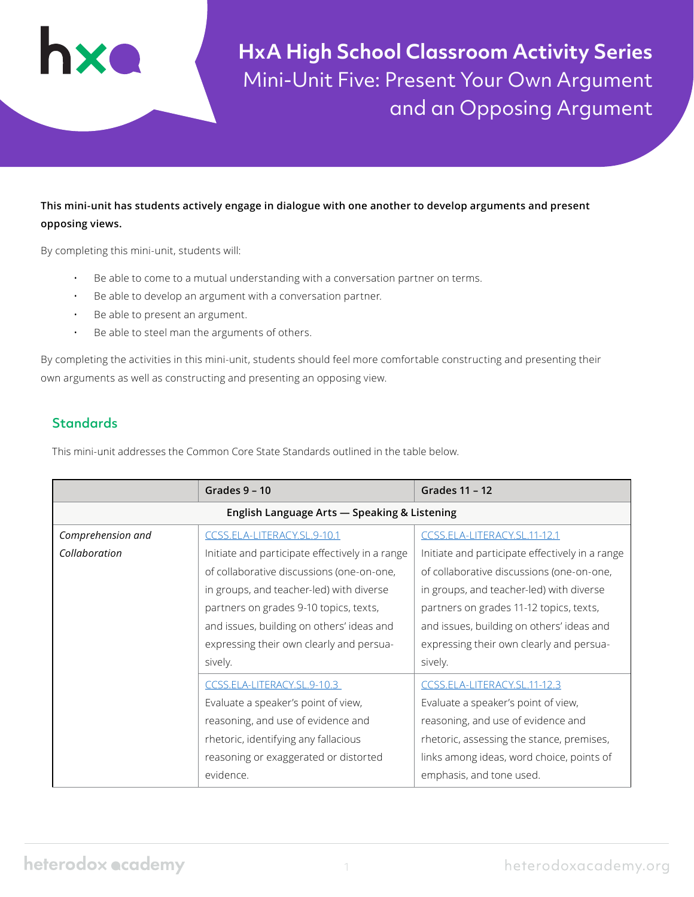**HxA High School Classroom Activity Series** Mini-Unit Five: Present Your Own Argument and an Opposing Argument

# **This mini-unit has students actively engage in dialogue with one another to develop arguments and present opposing views.**

By completing this mini-unit, students will:

- Be able to come to a mutual understanding with a conversation partner on terms.
- Be able to develop an argument with a conversation partner.
- Be able to present an argument.
- Be able to steel man the arguments of others.

By completing the activities in this mini-unit, students should feel more comfortable constructing and presenting their own arguments as well as constructing and presenting an opposing view.

# **Standards**

This mini-unit addresses the Common Core State Standards outlined in the table below.

|                                              | Grades $9 - 10$                                 | Grades 11 - 12                                  |  |  |  |
|----------------------------------------------|-------------------------------------------------|-------------------------------------------------|--|--|--|
| English Language Arts - Speaking & Listening |                                                 |                                                 |  |  |  |
| Comprehension and                            | CCSS.ELA-LITERACY.SL.9-10.1                     | CCSS.ELA-LITERACY.SL.11-12.1                    |  |  |  |
| Collaboration                                | Initiate and participate effectively in a range | Initiate and participate effectively in a range |  |  |  |
|                                              | of collaborative discussions (one-on-one,       | of collaborative discussions (one-on-one,       |  |  |  |
|                                              | in groups, and teacher-led) with diverse        | in groups, and teacher-led) with diverse        |  |  |  |
|                                              | partners on grades 9-10 topics, texts,          | partners on grades 11-12 topics, texts,         |  |  |  |
|                                              | and issues, building on others' ideas and       | and issues, building on others' ideas and       |  |  |  |
|                                              | expressing their own clearly and persua-        | expressing their own clearly and persua-        |  |  |  |
|                                              | sively.                                         | sively.                                         |  |  |  |
|                                              | CCSS.ELA-LITERACY.SL.9-10.3                     | CCSS.ELA-LITERACY.SL.11-12.3                    |  |  |  |
|                                              | Evaluate a speaker's point of view,             | Evaluate a speaker's point of view,             |  |  |  |
|                                              | reasoning, and use of evidence and              | reasoning, and use of evidence and              |  |  |  |
|                                              | rhetoric, identifying any fallacious            | rhetoric, assessing the stance, premises,       |  |  |  |
|                                              | reasoning or exaggerated or distorted           | links among ideas, word choice, points of       |  |  |  |
|                                              | evidence.                                       | emphasis, and tone used.                        |  |  |  |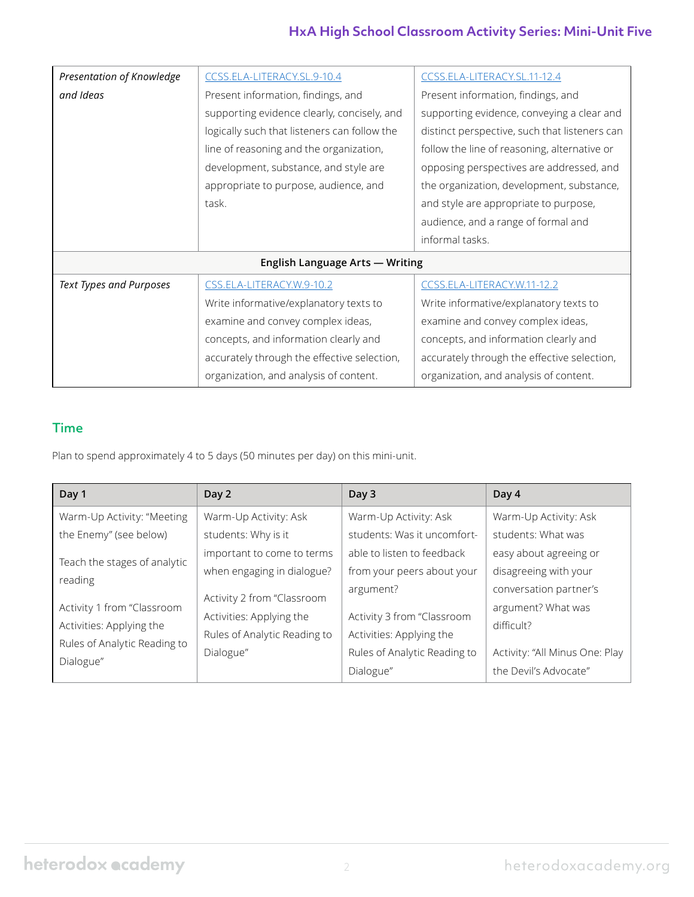# **HxA High School Classroom Activity Series: Mini-Unit Five**

| Presentation of Knowledge       | CCSS.ELA-LITERACY.SL.9-10.4                  | CCSS.ELA-LITERACY.SL.11-12.4                  |  |  |  |
|---------------------------------|----------------------------------------------|-----------------------------------------------|--|--|--|
| and Ideas                       | Present information, findings, and           | Present information, findings, and            |  |  |  |
|                                 | supporting evidence clearly, concisely, and  | supporting evidence, conveying a clear and    |  |  |  |
|                                 | logically such that listeners can follow the | distinct perspective, such that listeners can |  |  |  |
|                                 | line of reasoning and the organization,      | follow the line of reasoning, alternative or  |  |  |  |
|                                 | development, substance, and style are        | opposing perspectives are addressed, and      |  |  |  |
|                                 | appropriate to purpose, audience, and        | the organization, development, substance,     |  |  |  |
|                                 | task.                                        | and style are appropriate to purpose,         |  |  |  |
|                                 |                                              | audience, and a range of formal and           |  |  |  |
|                                 |                                              | informal tasks.                               |  |  |  |
| English Language Arts - Writing |                                              |                                               |  |  |  |
| Text Types and Purposes         | CSS.ELA-LITERACY.W.9-10.2                    | CCSS.ELA-LITERACY.W.11-12.2                   |  |  |  |
|                                 | Write informative/explanatory texts to       | Write informative/explanatory texts to        |  |  |  |
|                                 | examine and convey complex ideas,            | examine and convey complex ideas,             |  |  |  |
|                                 | concepts, and information clearly and        | concepts, and information clearly and         |  |  |  |
|                                 | accurately through the effective selection,  | accurately through the effective selection,   |  |  |  |
|                                 | organization, and analysis of content.       | organization, and analysis of content.        |  |  |  |

# Time

Plan to spend approximately 4 to 5 days (50 minutes per day) on this mini-unit.

| Day 1                        | Day 2                        | Day 3                        | Day 4                          |
|------------------------------|------------------------------|------------------------------|--------------------------------|
| Warm-Up Activity: "Meeting   | Warm-Up Activity: Ask        | Warm-Up Activity: Ask        | Warm-Up Activity: Ask          |
| the Enemy" (see below)       | students: Why is it          | students: Was it uncomfort-  | students: What was             |
| Teach the stages of analytic | important to come to terms   | able to listen to feedback   | easy about agreeing or         |
| reading                      | when engaging in dialogue?   | from your peers about your   | disagreeing with your          |
|                              | Activity 2 from "Classroom   | argument?                    | conversation partner's         |
| Activity 1 from "Classroom   | Activities: Applying the     | Activity 3 from "Classroom   | argument? What was             |
| Activities: Applying the     | Rules of Analytic Reading to | Activities: Applying the     | difficult?                     |
| Rules of Analytic Reading to | Dialogue"                    | Rules of Analytic Reading to | Activity: "All Minus One: Play |
| Dialogue"                    |                              | Dialogue"                    | the Devil's Advocate"          |